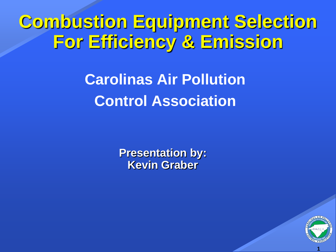### **Combustion Equipment Selection For Efficiency & Emission**

#### **Carolinas Air Pollution Control Association**

**Presentation by: Kevin Graber**

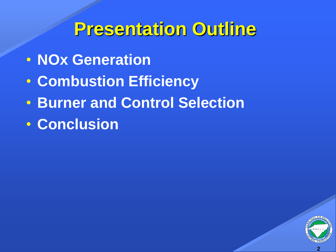#### **Presentation Outline**

- **NOx Generation**
- **Combustion Efficiency**
- **Burner and Control Selection**
- **Conclusion**

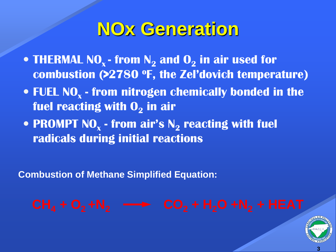#### **NOx Generation**

- **THERMAL NOx - from N<sup>2</sup> and O<sup>2</sup> in air used for combustion (>2780 <sup>o</sup>F, the Zel'dovich temperature)**
- **FUEL NO<sup>x</sup> - from nitrogen chemically bonded in the fuel reacting with O<sup>2</sup> in air**
- **PROMPT NO<sup>x</sup> - from air's N<sup>2</sup> reacting with fuel radicals during initial reactions**

**Combustion of Methane Simplified Equation:**

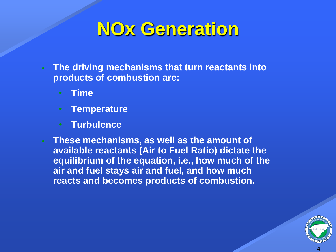#### **NOx Generation**

- **The driving mechanisms that turn reactants into products of combustion are:**
	- **Time**
	- **Temperature**
	- **Turbulence**
- **These mechanisms, as well as the amount of available reactants (Air to Fuel Ratio) dictate the equilibrium of the equation, i.e., how much of the air and fuel stays air and fuel, and how much reacts and becomes products of combustion.**

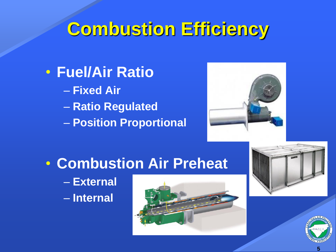# **Combustion Efficiency**

• **Fuel/Air Ratio** – **Fixed Air** – **Ratio Regulated** – **Position Proportional** 



#### • **Combustion Air Preheat**

– **External**  – **Internal**





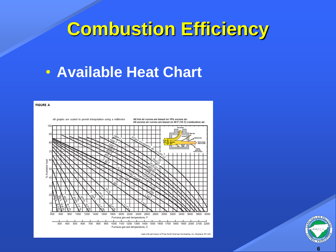#### **Combustion Efficiency**

#### • **Available Heat Chart**



Used with permission of Fives North American Combustion, Inc. Cleveland, OH USA

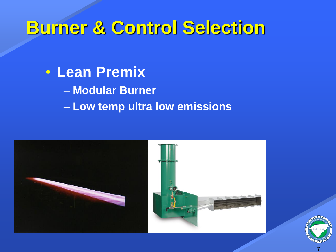• **Lean Premix** – **Modular Burner** – **Low temp ultra low emissions**



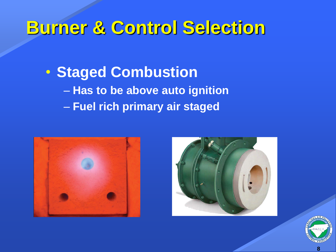• **Staged Combustion** – **Has to be above auto ignition** – **Fuel rich primary air staged**





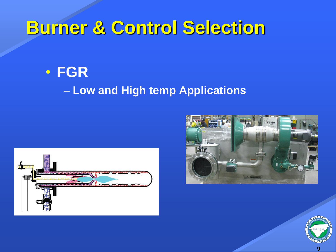#### • **FGR** – **Low and High temp Applications**





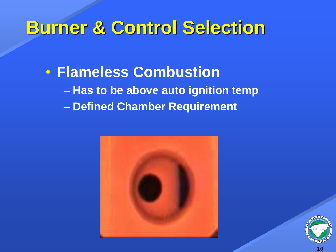• **Flameless Combustion** – **Has to be above auto ignition temp** – **Defined Chamber Requirement**